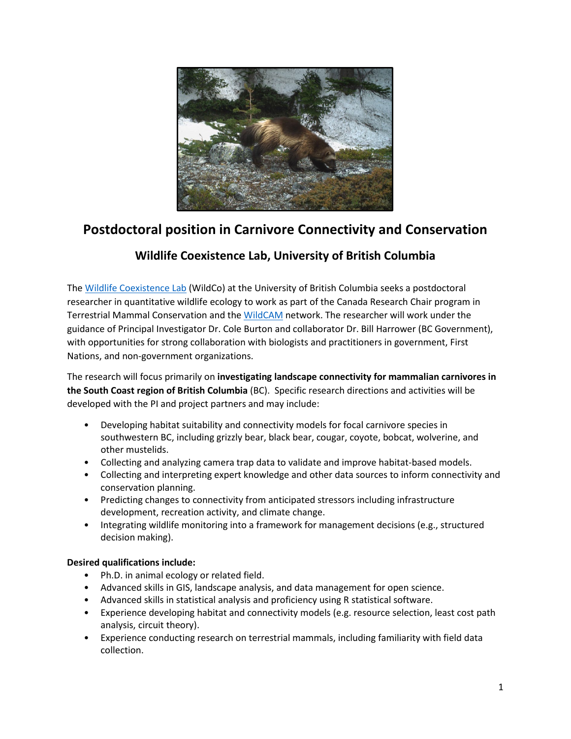

## **Postdoctoral position in Carnivore Connectivity and Conservation**

## **Wildlife Coexistence Lab, University of British Columbia**

The [Wildlife Coexistence](https://wildlife.forestry.ubc.ca/) Lab (WildCo) at the University of British Columbia seeks a postdoctoral researcher in quantitative wildlife ecology to work as part of the Canada Research Chair program in Terrestrial Mammal Conservation and th[e WildCAM](https://wildcams.ca/) network. The researcher will work under the guidance of Principal Investigator Dr. Cole Burton and collaborator Dr. Bill Harrower (BC Government), with opportunities for strong collaboration with biologists and practitioners in government, First Nations, and non-government organizations.

The research will focus primarily on **investigating landscape connectivity for mammalian carnivores in the South Coast region of British Columbia** (BC). Specific research directions and activities will be developed with the PI and project partners and may include:

- Developing habitat suitability and connectivity models for focal carnivore species in southwestern BC, including grizzly bear, black bear, cougar, coyote, bobcat, wolverine, and other mustelids.
- Collecting and analyzing camera trap data to validate and improve habitat-based models.
- Collecting and interpreting expert knowledge and other data sources to inform connectivity and conservation planning.
- Predicting changes to connectivity from anticipated stressors including infrastructure development, recreation activity, and climate change.
- Integrating wildlife monitoring into a framework for management decisions (e.g., structured decision making).

## **Desired qualifications include:**

- Ph.D. in animal ecology or related field.
- Advanced skills in GIS, landscape analysis, and data management for open science.
- Advanced skills in statistical analysis and proficiency using R statistical software.
- Experience developing habitat and connectivity models (e.g. resource selection, least cost path analysis, circuit theory).
- Experience conducting research on terrestrial mammals, including familiarity with field data collection.